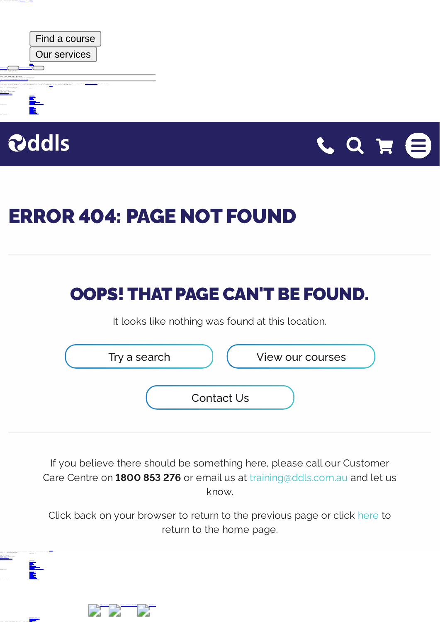|                                                                                                                | Find a course                                                                                                                                                                        |  |
|----------------------------------------------------------------------------------------------------------------|--------------------------------------------------------------------------------------------------------------------------------------------------------------------------------------|--|
|                                                                                                                | Our services                                                                                                                                                                         |  |
| <b></b><br>Crrsr 404: Page not found<br><b>CARS! That cans can</b><br>as feats.                                |                                                                                                                                                                                      |  |
| was Found at thes toratoot<br>FAATEASEASTAFT NA<br>what he return he the areasses<br>LATALY ERALLYS SAARAFARAA | and fall out tuninger tare tentre on <b>bits the FTE</b> of equal on at famous arefering and het us bina<br>AT JOACH BATA DA FATATA DA Cha home sana-<br>ALE SEAFRAGE ASSAULTMENTERS |  |
| ill it initia petur<br><b>BAT 23 TAAT</b><br><br>CARALLARS                                                     | <b>FARRA 15</b>                                                                                                                                                                      |  |
| 111.11.11                                                                                                      |                                                                                                                                                                                      |  |
|                                                                                                                |                                                                                                                                                                                      |  |
| <b>SAF BEARER</b>                                                                                              |                                                                                                                                                                                      |  |
|                                                                                                                |                                                                                                                                                                                      |  |



<sup>1</sup> <sup>8</sup> <sup>0</sup> <sup>0</sup> <sup>8</sup> <sup>5</sup> <sup>3</sup> <sup>2</sup> <sup>7</sup> <sup>6</sup> <sup>E</sup> <sup>m</sup> <sup>a</sup> <sup>i</sup> <sup>l</sup> <sup>d</sup> <sup>d</sup> <sup>l</sup> <sup>s</sup> [ e m a i l p r o t e c t e d ]

> S e r v i c e s S c h e d u l e s C e r t i f i c a t i o n s A c c r e d i t e d L e a r n i n g B r i s b a n e A d e l a i d e <sup>W</sup> <sup>e</sup> <sup>l</sup> <sup>l</sup> <sup>i</sup> <sup>n</sup> <sup>g</sup> <sup>t</sup> <sup>o</sup> <sup>n</sup> <sup>C</sup> <sup>h</sup> <sup>r</sup> <sup>i</sup> <sup>s</sup> <sup>t</sup> <sup>c</sup> <sup>h</sup> <sup>u</sup> <sup>r</sup> <sup>c</sup> <sup>h</sup>

 $\sim$   $\mu$ 



## ERROR 404: PAGE NOT FOUND

## OOPS! THAT PAGE CAN'T BE FOUND.

It looks like nothing was found at this location.



If you believe there should be something here, please call our Customer Care Centre on **1800 853 276** or email us at [training@ddls.com.au](mailto:training@ddls.com.au) and let us know.

Click back on your browser to return to the previous page or click [here](https://www.ddls.com.au/) to return to the home page.

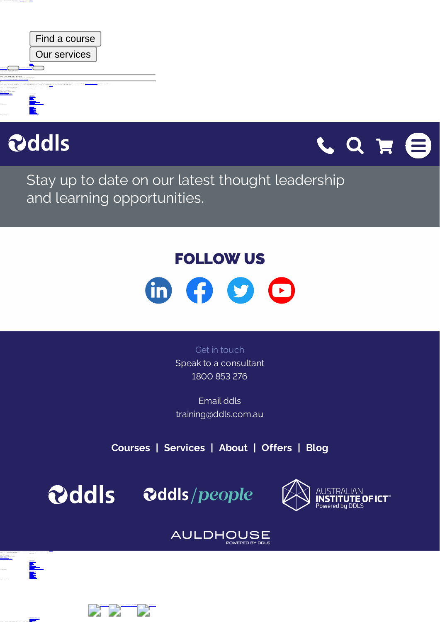|                                                                                                                              | Find a course                                                                                                                                                                                                                      |
|------------------------------------------------------------------------------------------------------------------------------|------------------------------------------------------------------------------------------------------------------------------------------------------------------------------------------------------------------------------------|
|                                                                                                                              | <b>Our services</b>                                                                                                                                                                                                                |
| <b>BAFRASTARTAFT H</b><br><br>Crrsr 404: Pear not found<br>poss: that same can't be found                                    |                                                                                                                                                                                                                                    |
| IT house they nothing was found at this horatony<br>.<br>LATALY ERALLYS SAARAFARAA<br>test at cranning partner.<br>CARALLARS | stand to concrete tors, steams rate our functions fore control in <b>seas and are</b> or again in tagget aronacted and not us bone<br>AT JOINT BATA 24 FATATS 24 134 5484 8484<br>And thereing concretention<br><b>ALCOHOL: 12</b> |
|                                                                                                                              |                                                                                                                                                                                                                                    |
| <b>SAF BEARER</b>                                                                                                            |                                                                                                                                                                                                                                    |



g o n <u>a l 1</u>



Stay up to date on our latest thought leadership and learning opportunities.

## FOLLOW US



Get in touch Speak to a consultant [1800](tel:1800853276) 853 276

Email ddls [training@ddls.com.au](mailto:training@ddls.com.au)

**[Courses](https://www.ddls.com.au/courses/) | [Services](https://www.ddls.com.au/services/) | [About](https://www.ddls.com.au/about-us/) | [Offers](https://www.ddls.com.au/offers/) | [Blog](https://www.ddls.com.au/blog/)**





## **AULDHOUSE** POWERED BY DD



<sup>1</sup> <sup>8</sup> <sup>0</sup> <sup>0</sup> <sup>8</sup> <sup>5</sup> <sup>3</sup> <sup>2</sup> <sup>7</sup> <sup>6</sup> <sup>E</sup> <sup>m</sup> <sup>a</sup> <sup>i</sup> <sup>l</sup> <sup>d</sup> <sup>d</sup> <sup>l</sup> <sup>s</sup> [ e m a i l p r o t e c t e d ]